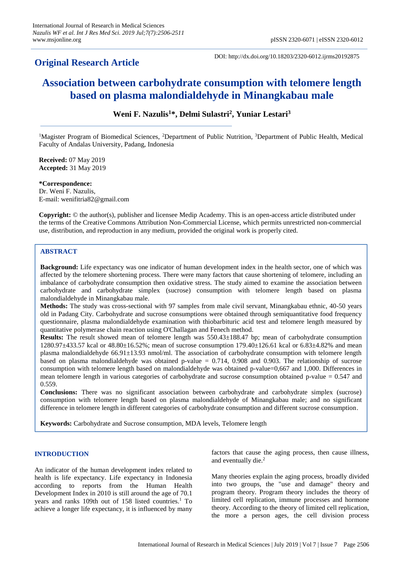# **Original Research Article**

DOI: http://dx.doi.org/10.18203/2320-6012.ijrms20192875

# **Association between carbohydrate consumption with telomere length based on plasma malondialdehyde in Minangkabau male**

**Weni F. Nazulis<sup>1</sup>\*, Delmi Sulastri<sup>2</sup> , Yuniar Lestari<sup>3</sup>**

<sup>1</sup>Magister Program of Biomedical Sciences, <sup>2</sup>Department of Public Nutrition, <sup>3</sup>Department of Public Health, Medical Faculty of Andalas University, Padang, Indonesia

**Received:** 07 May 2019 **Accepted:** 31 May 2019

**\*Correspondence:** Dr. Weni F. Nazulis, E-mail: wenifitria82@gmail.com

**Copyright:** © the author(s), publisher and licensee Medip Academy. This is an open-access article distributed under the terms of the Creative Commons Attribution Non-Commercial License, which permits unrestricted non-commercial use, distribution, and reproduction in any medium, provided the original work is properly cited.

# **ABSTRACT**

**Background:** Life expectancy was one indicator of human development index in the health sector, one of which was affected by the telomere shortening process. There were many factors that cause shortening of telomere, including an imbalance of carbohydrate consumption then oxidative stress. The study aimed to examine the association between carbohydrate and carbohydrate simplex (sucrose) consumption with telomere length based on plasma malondialdehyde in Minangkabau male.

**Methods:** The study was cross-sectional with 97 samples from male civil servant, Minangkabau ethnic, 40-50 years old in Padang City. Carbohydrate and sucrose consumptions were obtained through semiquantitative food frequency questionnaire, plasma malondialdehyde examination with thiobarbituric acid test and telomere length measured by quantitative polymerase chain reaction using O'Challagan and Fenech method.

**Results:** The result showed mean of telomere length was 550.43±188.47 bp; mean of carbohydrate consumption 1280.97±433.57 kcal or 48.80±16.52%; mean of sucrose consumption 179.40±126.61 kcal or 6.83±4.82% and mean plasma malondialdehyde  $66.91\pm13.93$  nmol/ml. The association of carbohydrate consumption with telomere length based on plasma malondialdehyde was obtained p-value  $= 0.714$ , 0.908 and 0.903. The relationship of sucrose consumption with telomere length based on malondialdehyde was obtained p-value=0,667 and 1,000. Differences in mean telomere length in various categories of carbohydrate and sucrose consumption obtained p-value = 0.547 and 0.559.

**Conclusions:** There was no significant association between carbohydrate and carbohydrate simplex (sucrose) consumption with telomere length based on plasma malondialdehyde of Minangkabau male; and no significant difference in telomere length in different categories of carbohydrate consumption and different sucrose consumption.

**Keywords:** Carbohydrate and Sucrose consumption, MDA levels, Telomere length

# **INTRODUCTION**

An indicator of the human development index related to health is life expectancy. Life expectancy in Indonesia according to reports from the Human Health Development Index in 2010 is still around the age of 70.1 years and ranks 109th out of 158 listed countries.<sup>1</sup> To achieve a longer life expectancy, it is influenced by many factors that cause the aging process, then cause illness, and eventually die.<sup>2</sup>

Many theories explain the aging process, broadly divided into two groups, the "use and damage" theory and program theory. Program theory includes the theory of limited cell replication, immune processes and hormone theory. According to the theory of limited cell replication, the more a person ages, the cell division process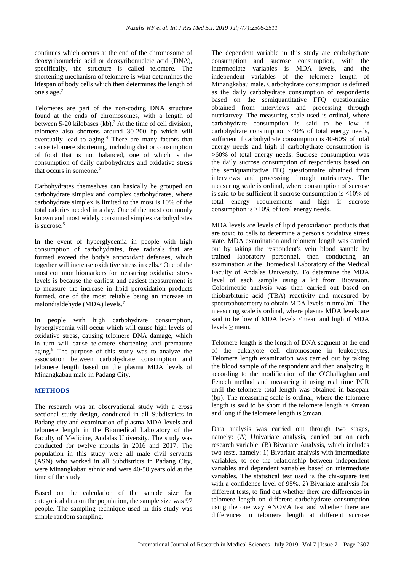continues which occurs at the end of the chromosome of deoxyribonucleic acid or deoxyribonucleic acid (DNA), specifically, the structure is called telomere. The shortening mechanism of telomere is what determines the lifespan of body cells which then determines the length of one's age.<sup>2</sup>

Telomeres are part of the non-coding DNA structure found at the ends of chromosomes, with a length of between 5-20 kilobases (kb).<sup>3</sup> At the time of cell division. telomere also shortens around 30-200 bp which will eventually lead to aging.<sup>4</sup> There are many factors that cause telomere shortening, including diet or consumption of food that is not balanced, one of which is the consumption of daily carbohydrates and oxidative stress that occurs in someone.<sup>2</sup>

Carbohydrates themselves can basically be grouped on carbohydrate simplex and complex carbohydrates, where carbohydrate simplex is limited to the most is 10% of the total calories needed in a day. One of the most commonly known and most widely consumed simplex carbohydrates is sucrose.<sup>5</sup>

In the event of hyperglycemia in people with high consumption of carbohydrates, free radicals that are formed exceed the body's antioxidant defenses, which together will increase oxidative stress in cells.<sup>6</sup> One of the most common biomarkers for measuring oxidative stress levels is because the earliest and easiest measurement is to measure the increase in lipid peroxidation products formed, one of the most reliable being an increase in malondialdehyde (MDA) levels.<sup>7</sup>

In people with high carbohydrate consumption, hyperglycemia will occur which will cause high levels of oxidative stress, causing telomere DNA damage, which in turn will cause telomere shortening and premature aging.<sup>8</sup> The purpose of this study was to analyze the association between carbohydrate consumption and telomere length based on the plasma MDA levels of Minangkabau male in Padang City.

# **METHODS**

The research was an observational study with a cross sectional study design, conducted in all Subdistricts in Padang city and examination of plasma MDA levels and telomere length in the Biomedical Laboratory of the Faculty of Medicine, Andalas University. The study was conducted for twelve months in 2016 and 2017. The population in this study were all male civil servants (ASN) who worked in all Subdistricts in Padang City, were Minangkabau ethnic and were 40-50 years old at the time of the study.

Based on the calculation of the sample size for categorical data on the population, the sample size was 97 people. The sampling technique used in this study was simple random sampling.

The dependent variable in this study are carbohydrate consumption and sucrose consumption, with the intermediate variables is MDA levels, and the independent variables of the telomere length of Minangkabau male. Carbohydrate consumption is defined as the daily carbohydrate consumption of respondents based on the semiquantitative FFQ questionnaire obtained from interviews and processing through nutrisurvey. The measuring scale used is ordinal, where carbohydrate consumption is said to be low if carbohydrate consumption <40% of total energy needs, sufficient if carbohydrate consumption is 40-60% of total energy needs and high if carbohydrate consumption is >60% of total energy needs. Sucrose consumption was the daily sucrose consumption of respondents based on the semiquantitative FFQ questionnaire obtained from interviews and processing through nutrisurvey. The measuring scale is ordinal, where consumption of sucrose is said to be sufficient if sucrose consumption is ≤10% of total energy requirements and high if sucrose consumption is >10% of total energy needs.

MDA levels are levels of lipid peroxidation products that are toxic to cells to determine a person's oxidative stress state. MDA examination and telomere length was carried out by taking the respondent's vein blood sample by trained laboratory personnel, then conducting an examination at the Biomedical Laboratory of the Medical Faculty of Andalas University. To determine the MDA level of each sample using a kit from Biovision. Colorimetric analysis was then carried out based on thiobarbituric acid (TBA) reactivity and measured by spectrophotometry to obtain MDA levels in nmol/ml. The measuring scale is ordinal, where plasma MDA levels are said to be low if MDA levels <mean and high if MDA levels ≥ mean.

Telomere length is the length of DNA segment at the end of the eukaryote cell chromosome in leukocytes. Telomere length examination was carried out by taking the blood sample of the respondent and then analyzing it according to the modification of the O'Challaghan and Fenech method and measuring it using real time PCR until the telomere total length was obtained in basepair (bp). The measuring scale is ordinal, where the telomere length is said to be short if the telomere length is  $\leq$ mean and long if the telomere length is ≥mean.

Data analysis was carried out through two stages, namely: (A) Univariate analysis, carried out on each research variable. (B) Bivariate Analysis, which includes two tests, namely: 1) Bivariate analysis with intermediate variables, to see the relationship between independent variables and dependent variables based on intermediate variables. The statistical test used is the chi-square test with a confidence level of 95%. 2) Bivariate analysis for different tests, to find out whether there are differences in telomere length on different carbohydrate consumption using the one way ANOVA test and whether there are differences in telomere length at different sucrose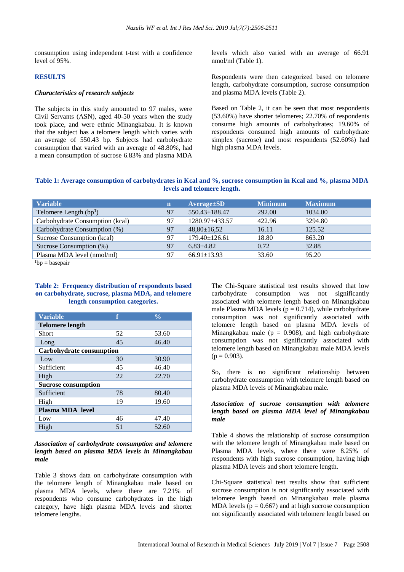consumption using independent t-test with a confidence level of 95%.

#### **RESULTS**

#### *Characteristics of research subjects*

The subjects in this study amounted to 97 males, were Civil Servants (ASN), aged 40-50 years when the study took place, and were ethnic Minangkabau. It is known that the subject has a telomere length which varies with an average of 550.43 bp. Subjects had carbohydrate consumption that varied with an average of 48.80%, had a mean consumption of sucrose 6.83% and plasma MDA levels which also varied with an average of 66.91 nmol/ml (Table 1).

Respondents were then categorized based on telomere length, carbohydrate consumption, sucrose consumption and plasma MDA levels (Table 2).

Based on Table 2, it can be seen that most respondents (53.60%) have shorter telomeres; 22.70% of respondents consume high amounts of carbohydrates; 19.60% of respondents consumed high amounts of carbohydrate simplex (sucrose) and most respondents (52.60%) had high plasma MDA levels.

# **Table 1: Average consumption of carbohydrates in Kcal and %, sucrose consumption in Kcal and %, plasma MDA levels and telomere length.**

| <b>Variable</b>                 | $\mathbf n$ | $Average \pm SD$    | <b>Minimum</b> | <b>Maximum</b> |
|---------------------------------|-------------|---------------------|----------------|----------------|
| Telomere Length $(bp1)$         | 97          | $550.43 \pm 188.47$ | 292.00         | 1034.00        |
| Carbohydrate Consumption (kcal) | 97          | 1280.97+433.57      | 422.96         | 3294.80        |
| Carbohydrate Consumption (%)    | 97          | $48,80 \pm 16,52$   | 16.11          | 125.52         |
| Sucrose Consumption (kcal)      | 97          | $179.40 \pm 126.61$ | 18.80          | 863.20         |
| Sucrose Consumption (%)         | 97          | $6.83 + 4.82$       | 0.72           | 32.88          |
| Plasma MDA level (nmol/ml)      | 97          | $66.91 \pm 13.93$   | 33.60          | 95.20          |

 $1bp = basepair$ 

#### **Table 2: Frequency distribution of respondents based on carbohydrate, sucrose, plasma MDA, and telomere length consumption categories.**

| <b>Variable</b>            |    | $\frac{0}{0}$ |  |  |
|----------------------------|----|---------------|--|--|
| <b>Telomere length</b>     |    |               |  |  |
| Short                      | 52 | 53.60         |  |  |
| Long                       | 45 | 46.40         |  |  |
| Carbohydrate consumption   |    |               |  |  |
| Low                        | 30 | 30.90         |  |  |
| Sufficient                 | 45 | 46.40         |  |  |
| High                       | 22 | 22.70         |  |  |
| <b>Sucrose consumption</b> |    |               |  |  |
| Sufficient                 | 78 | 80.40         |  |  |
| High                       | 19 | 19.60         |  |  |
| Plasma MDA level           |    |               |  |  |
| Low                        | 46 | 47.40         |  |  |
| High                       | 51 | 52.60         |  |  |

## *Association of carbohydrate consumption and telomere length based on plasma MDA levels in Minangkabau male*

Table 3 shows data on carbohydrate consumption with the telomere length of Minangkabau male based on plasma MDA levels, where there are 7.21% of respondents who consume carbohydrates in the high category, have high plasma MDA levels and shorter telomere lengths.

The Chi-Square statistical test results showed that low carbohydrate consumption was not significantly associated with telomere length based on Minangkabau male Plasma MDA levels ( $p = 0.714$ ), while carbohydrate consumption was not significantly associated with telomere length based on plasma MDA levels of Minangkabau male ( $p = 0.908$ ), and high carbohydrate consumption was not significantly associated with telomere length based on Minangkabau male MDA levels  $(p = 0.903)$ .

So, there is no significant relationship between carbohydrate consumption with telomere length based on plasma MDA levels of Minangkabau male.

#### *Association of sucrose consumption with telomere length based on plasma MDA level of Minangkabau male*

Table 4 shows the relationship of sucrose consumption with the telomere length of Minangkabau male based on Plasma MDA levels, where there were 8.25% of respondents with high sucrose consumption, having high plasma MDA levels and short telomere length.

Chi-Square statistical test results show that sufficient sucrose consumption is not significantly associated with telomere length based on Minangkabau male plasma MDA levels ( $p = 0.667$ ) and at high sucrose consumption not significantly associated with telomere length based on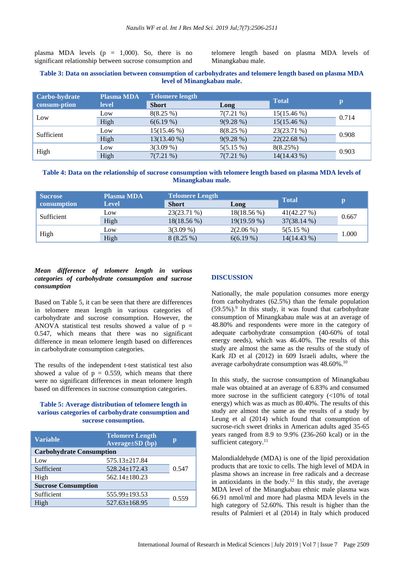plasma MDA levels  $(p = 1,000)$ . So, there is no significant relationship between sucrose consumption and telomere length based on plasma MDA levels of Minangkabau male.

## **Table 3: Data on association between consumption of carbohydrates and telomere length based on plasma MDA level of Minangkabau male.**

| Carbo-hydrate | <b>Plasma MDA</b> | <b>Telomere length</b> |             | <b>Total</b>  |              |
|---------------|-------------------|------------------------|-------------|---------------|--------------|
| consum-ption  | <b>level</b>      | <b>Short</b>           | Long        |               | $\mathbf{p}$ |
| Low           | Low               | 8(8.25%)               | $7(7.21\%)$ | $15(15.46\%)$ | 0.714        |
|               | High              | 6(6.19%)               | 9(9.28%)    | $15(15.46\%)$ |              |
| Sufficient    | Low               | $15(15.46\%)$          | 8(8.25%)    | 23(23.71 %)   | 0.908        |
|               | High              | $13(13.40\%)$          | 9(9.28%)    | $22(22.68\%)$ |              |
| High          | Low               | $3(3.09\%)$            | $5(5.15\%)$ | 8(8.25%)      | 0.903        |
|               | High              | $7(7.21\%)$            | $7(7.21\%)$ | 14(14.43 %)   |              |

#### **Table 4: Data on the relationship of sucrose consumption with telomere length based on plasma MDA levels of Minangkabau male.**

| <b>Sucrose</b> | <b>Plasma MDA</b> | <b>Telomere Length</b> |               | <b>Total</b>  |       |
|----------------|-------------------|------------------------|---------------|---------------|-------|
| consumption    | Level             | <b>Short</b>           | Long          |               |       |
| Sufficient     | Low               | 23(23.71 %)            | 18(18.56 %)   | 41(42.27%)    | 0.667 |
|                | High              | $18(18.56\%)$          | $19(19.59\%)$ | $37(38.14\%)$ |       |
| High           | Low               | $3(3.09\%)$            | $2(2.06\%)$   | $5(5.15\%)$   | 1.000 |
|                | High              | 8(8.25%)               | $6(6.19\%)$   | 14(14.43 %)   |       |

# *Mean difference of telomere length in various categories of carbohydrate consumption and sucrose consumption*

Based on Table 5, it can be seen that there are differences in telomere mean length in various categories of carbohydrate and sucrose consumption. However, the ANOVA statistical test results showed a value of  $p =$ 0.547, which means that there was no significant difference in mean telomere length based on differences in carbohydrate consumption categories.

The results of the independent t-test statistical test also showed a value of  $p = 0.559$ , which means that there were no significant differences in mean telomere length based on differences in sucrose consumption categories.

# **Table 5: Average distribution of telomere length in various categories of carbohydrate consumption and sucrose consumption.**

| <b>Variable</b>                 | <b>Telomere Length</b><br>Average±SD (bp) | Ю     |  |  |  |
|---------------------------------|-------------------------------------------|-------|--|--|--|
| <b>Carbohydrate Consumption</b> |                                           |       |  |  |  |
| Low                             | 575.13±217.84                             |       |  |  |  |
| Sufficient                      | $528.24 \pm 172.43$                       | 0.547 |  |  |  |
| High                            | $562.14 \pm 180.23$                       |       |  |  |  |
| <b>Sucrose Consumption</b>      |                                           |       |  |  |  |
| Sufficient                      | 555.99±193.53                             | 0.559 |  |  |  |
| High                            | $527.63 \pm 168.95$                       |       |  |  |  |

#### **DISCUSSION**

Nationally, the male population consumes more energy from carbohydrates (62.5%) than the female population  $(59.5\%)$ .<sup>9</sup> In this study, it was found that carbohydrate consumption of Minangkabau male was at an average of 48.80% and respondents were more in the category of adequate carbohydrate consumption (40-60% of total energy needs), which was 46.40%. The results of this study are almost the same as the results of the study of Kark JD et al (2012) in 609 Israeli adults, where the average carbohydrate consumption was 48.60%.<sup>10</sup>

In this study, the sucrose consumption of Minangkabau male was obtained at an average of 6.83% and consumed more sucrose in the sufficient category (<10% of total energy) which was as much as 80.40%. The results of this study are almost the same as the results of a study by Leung et al (2014) which found that consumption of sucrose-rich sweet drinks in American adults aged 35-65 years ranged from 8.9 to 9.9% (236-260 kcal) or in the sufficient category.<sup>11</sup>

Malondialdehyde (MDA) is one of the lipid peroxidation products that are toxic to cells. The high level of MDA in plasma shows an increase in free radicals and a decrease in antioxidants in the body.<sup>12</sup> In this study, the average MDA level of the Minangkabau ethnic male plasma was 66.91 nmol/ml and more had plasma MDA levels in the high category of 52.60%. This result is higher than the results of Palmieri et al (2014) in Italy which produced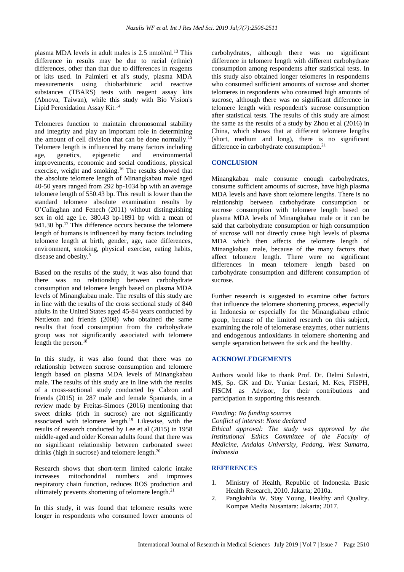plasma MDA levels in adult males is 2.5 nmol/ml.<sup>13</sup> This difference in results may be due to racial (ethnic) differences, other than that due to differences in reagents or kits used. In Palmieri et al's study, plasma MDA measurements using thiobarbituric acid reactive substances (TBARS) tests with reagent assay kits (Abnova, Taiwan), while this study with Bio Vision's Lipid Peroxidation Assay Kit.<sup>14</sup>

Telomeres function to maintain chromosomal stability and integrity and play an important role in determining the amount of cell division that can be done normally.<sup>15</sup> Telomere length is influenced by many factors including age, genetics, epigenetic and environmental improvements, economic and social conditions, physical exercise, weight and smoking.<sup>16</sup> The results showed that the absolute telomere length of Minangkabau male aged 40-50 years ranged from 292 bp-1034 bp with an average telomere length of 550.43 bp. This result is lower than the standard telomere absolute examination results by O'Callaghan and Fenech (2011) without distinguishing sex in old age i.e. 380.43 bp-1891 bp with a mean of 941.30 bp.<sup>17</sup> This difference occurs because the telomere length of humans is influenced by many factors including telomere length at birth, gender, age, race differences, environment, smoking, physical exercise, eating habits, disease and obesity.<sup>8</sup>

Based on the results of the study, it was also found that there was no relationship between carbohydrate consumption and telomere length based on plasma MDA levels of Minangkabau male. The results of this study are in line with the results of the cross sectional study of 840 adults in the United States aged 45-84 years conducted by Nettleton and friends (2008) who obtained the same results that food consumption from the carbohydrate group was not significantly associated with telomere length the person.<sup>18</sup>

In this study, it was also found that there was no relationship between sucrose consumption and telomere length based on plasma MDA levels of Minangkabau male. The results of this study are in line with the results of a cross-sectional study conducted by Calzon and friends (2015) in 287 male and female Spaniards, in a review made by Freitas-Simoes (2016) mentioning that sweet drinks (rich in sucrose) are not significantly associated with telomere length.<sup>19</sup> Likewise, with the results of research conducted by Lee et al (2015) in 1958 middle-aged and older Korean adults found that there was no significant relationship between carbonated sweet drinks (high in sucrose) and telomere length.<sup>20</sup>

Research shows that short-term limited caloric intake increases mitochondrial numbers and improves respiratory chain function, reduces ROS production and ultimately prevents shortening of telomere length. $2<sup>1</sup>$ 

In this study, it was found that telomere results were longer in respondents who consumed lower amounts of carbohydrates, although there was no significant difference in telomere length with different carbohydrate consumption among respondents after statistical tests. In this study also obtained longer telomeres in respondents who consumed sufficient amounts of sucrose and shorter telomeres in respondents who consumed high amounts of sucrose, although there was no significant difference in telomere length with respondent's sucrose consumption after statistical tests. The results of this study are almost the same as the results of a study by Zhou et al (2016) in China, which shows that at different telomere lengths (short, medium and long), there is no significant difference in carbohydrate consumption.<sup>21</sup>

# **CONCLUSION**

Minangkabau male consume enough carbohydrates, consume sufficient amounts of sucrose, have high plasma MDA levels and have short telomere lengths. There is no relationship between carbohydrate consumption or sucrose consumption with telomere length based on plasma MDA levels of Minangkabau male or it can be said that carbohydrate consumption or high consumption of sucrose will not directly cause high levels of plasma MDA which then affects the telomere length of Minangkabau male, because of the many factors that affect telomere length. There were no significant differences in mean telomere length based on carbohydrate consumption and different consumption of sucrose.

Further research is suggested to examine other factors that influence the telomere shortening process, especially in Indonesia or especially for the Minangkabau ethnic group, because of the limited research on this subject, examining the role of telomerase enzymes, other nutrients and endogenous antioxidants in telomere shortening and sample separation between the sick and the healthy.

#### **ACKNOWLEDGEMENTS**

Authors would like to thank Prof. Dr. Delmi Sulastri, MS, Sp. GK and Dr. Yuniar Lestari, M. Kes, FISPH, FISCM as Advisor, for their contributions and participation in supporting this research.

#### *Funding: No funding sources*

*Conflict of interest: None declared*

*Ethical approval: The study was approved by the Institutional Ethics Committee of the Faculty of Medicine, Andalas University, Padang, West Sumatra, Indonesia*

#### **REFERENCES**

- 1. Ministry of Health, Republic of Indonesia. Basic Health Research, 2010. Jakarta; 2010a.
- 2. Pangkahila W. Stay Young, Healthy and Quality. Kompas Media Nusantara: Jakarta; 2017.